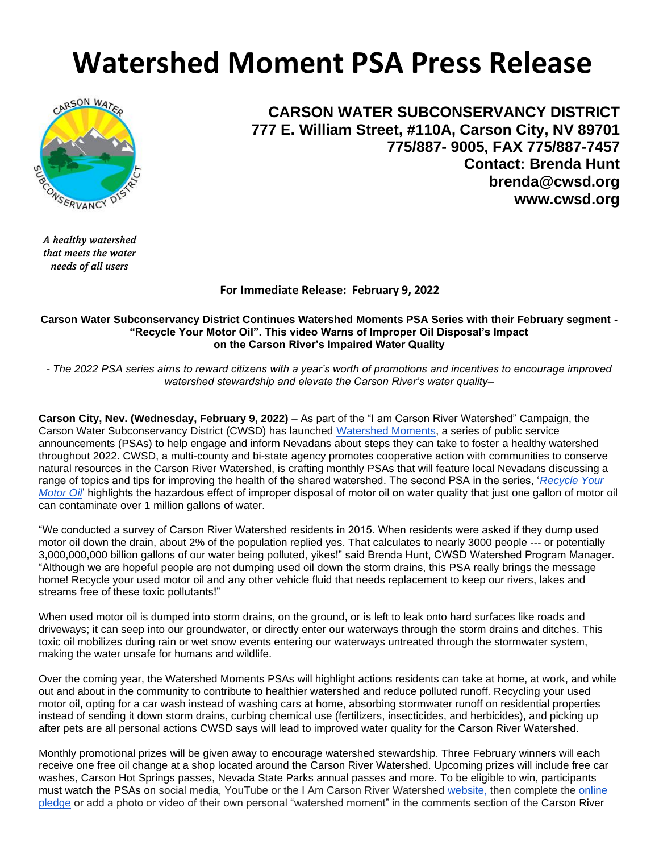# **Watershed Moment PSA Press Release**



**CARSON WATER SUBCONSERVANCY DISTRICT 777 E. William Street, #110A, Carson City, NV 89701 775/887- 9005, FAX 775/887-7457 Contact: Brenda Hunt brenda@cwsd.org www.cwsd.org**

*A healthy watershed that meets the water needs of all users*

# **For Immediate Release: February 9, 2022**

#### **Carson Water Subconservancy District Continues Watershed Moments PSA Series with their February segment - "Recycle Your Motor Oil". This video Warns of Improper Oil Disposal's Impact on the Carson River's Impaired Water Quality**

*- The 2022 PSA series aims to reward citizens with a year's worth of promotions and incentives to encourage improved watershed stewardship and elevate the Carson River's water quality–*

**Carson City, Nev. (Wednesday, February 9, 2022)** – As part of the "I am Carson River Watershed" Campaign, the Carson Water Subconservancy District (CWSD) has launched [Watershed Moments,](https://iamcarsonriver.org/) a series of public service announcements (PSAs) to help engage and inform Nevadans about steps they can take to foster a healthy watershed throughout 2022. CWSD, a multi-county and bi-state agency promotes cooperative action with communities to conserve natural resources in the Carson River Watershed, is crafting monthly PSAs that will feature local Nevadans discussing a range of topics and tips for improving the health of the shared watershed. The second PSA in the series, '*Recycle Your Motor Oil*' highlights the hazardous effect of improper disposal of motor oil on water quality that just one gallon of motor oil can contaminate over 1 million gallons of water.

"We conducted a survey of Carson River Watershed residents in 2015. When residents were asked if they dump used motor oil down the drain, about 2% of the population replied yes. That calculates to nearly 3000 people --- or potentially 3,000,000,000 billion gallons of our water being polluted, yikes!" said Brenda Hunt, CWSD Watershed Program Manager. "Although we are hopeful people are not dumping used oil down the storm drains, this PSA really brings the message home! Recycle your used motor oil and any other vehicle fluid that needs replacement to keep our rivers, lakes and streams free of these toxic pollutants!"

When used motor oil is dumped into storm drains, on the ground, or is left to leak onto hard surfaces like roads and driveways; it can seep into our groundwater, or directly enter our waterways through the storm drains and ditches. This toxic oil mobilizes during rain or wet snow events entering our waterways untreated through the stormwater system, making the water unsafe for humans and wildlife.

Over the coming year, the Watershed Moments PSAs will highlight actions residents can take at home, at work, and while out and about in the community to contribute to healthier watershed and reduce polluted runoff. Recycling your used motor oil, opting for a car wash instead of washing cars at home, absorbing stormwater runoff on residential properties instead of sending it down storm drains, curbing chemical use (fertilizers, insecticides, and herbicides), and picking up after pets are all personal actions CWSD says will lead to improved water quality for the Carson River Watershed.

Monthly promotional prizes will be given away to encourage watershed stewardship. Three February winners will each receive one free oil change at a shop located around the Carson River Watershed. Upcoming prizes will include free car washes, Carson Hot Springs passes, Nevada State Parks annual passes and more. To be eligible to win, participants must watch the PSAs on social media, YouTube or the I Am Carson River Watershed [website,](http://iamcarsonriver.org/) then complete the [online](https://docs.google.com/forms/d/e/1FAIpQLSdU7MyffiroXAbyh5Z-ADw4-68HX7SobPzRH_6s80Tb-GvVjw/viewform)  [pledge](https://docs.google.com/forms/d/e/1FAIpQLSdU7MyffiroXAbyh5Z-ADw4-68HX7SobPzRH_6s80Tb-GvVjw/viewform) or add a photo or video of their own personal "watershed moment" in the comments section of the Carson River